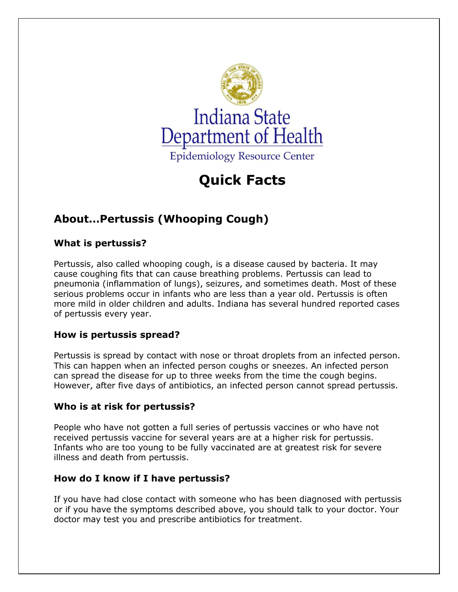

# **Quick Facts**

# **About…Pertussis (Whooping Cough)**

### **What is pertussis?**

Pertussis, also called whooping cough, is a disease caused by bacteria. It may cause coughing fits that can cause breathing problems. Pertussis can lead to pneumonia (inflammation of lungs), seizures, and sometimes death. Most of these serious problems occur in infants who are less than a year old. Pertussis is often more mild in older children and adults. Indiana has several hundred reported cases of pertussis every year.

## **How is pertussis spread?**

Pertussis is spread by contact with nose or throat droplets from an infected person. This can happen when an infected person coughs or sneezes. An infected person can spread the disease for up to three weeks from the time the cough begins. However, after five days of antibiotics, an infected person cannot spread pertussis.

#### **Who is at risk for pertussis?**

People who have not gotten a full series of pertussis vaccines or who have not received pertussis vaccine for several years are at a higher risk for pertussis. Infants who are too young to be fully vaccinated are at greatest risk for severe illness and death from pertussis.

#### **How do I know if I have pertussis?**

If you have had close contact with someone who has been diagnosed with pertussis or if you have the symptoms described above, you should talk to your doctor. Your doctor may test you and prescribe antibiotics for treatment.